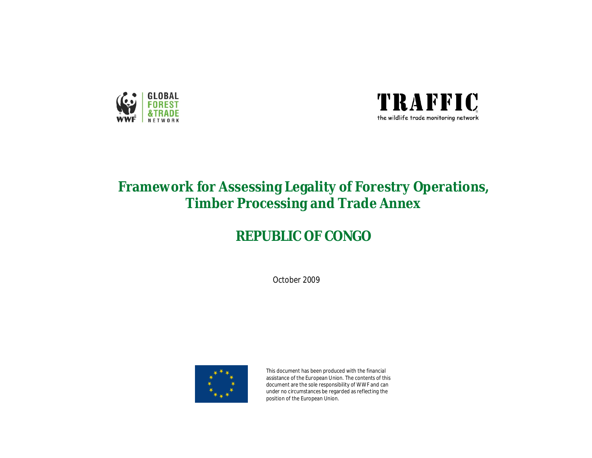



# **Framework for Assessing Legality of Forestry Operations, Timber Processing and Trade Annex**

# **REPUBLIC OF CONGO**

October 2009



This document has been produced with the financial assistance of the European Union. The contents of this document are the sole responsibility of WWF and can under no circumstances be regarded as reflecting the position of the European Union.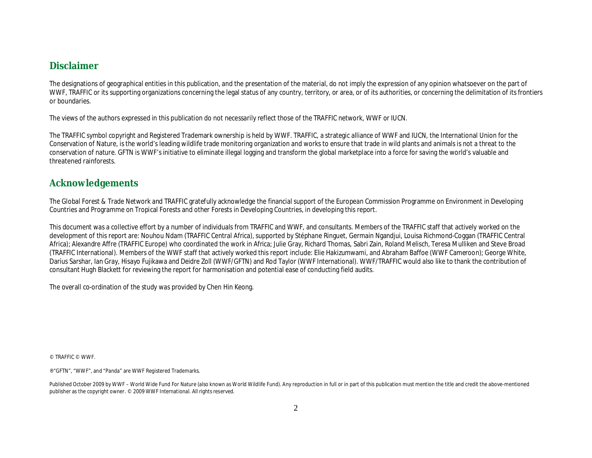### **Disclaimer**

The designations of geographical entities in this publication, and the presentation of the material, do not imply the expression of any opinion whatsoever on the part of WWF, TRAFFIC or its supporting organizations concerning the legal status of any country, territory, or area, or of its authorities, or concerning the delimitation of its frontiers or boundaries.

The views of the authors expressed in this publication do not necessarily reflect those of the TRAFFIC network, WWF or IUCN.

The TRAFFIC symbol copyright and Registered Trademark ownership is held by WWF. TRAFFIC, a strategic alliance of WWF and IUCN, the International Union for the Conservation of Nature, is the world's leading wildlife trade monitoring organization and works to ensure that trade in wild plants and animals is not a threat to the conservation of nature. GFTN is WWF's initiative to eliminate illegal logging and transform the global marketplace into a force for saving the world's valuable and threatened rainforests.

### **Acknowledgements**

The Global Forest & Trade Network and TRAFFIC gratefully acknowledge the financial support of the European Commission Programme on Environment in Developing Countries and Programme on Tropical Forests and other Forests in Developing Countries, in developing this report.

This document was a collective effort by a number of individuals from TRAFFIC and WWF, and consultants. Members of the TRAFFIC staff that actively worked on the development of this report are: Nouhou Ndam (TRAFFIC Central Africa), supported by Stéphane Ringuet, Germain Ngandjui, Louisa Richmond-Coggan (TRAFFIC Central Africa); Alexandre Affre (TRAFFIC Europe) who coordinated the work in Africa; Julie Gray, Richard Thomas, Sabri Zain, Roland Melisch, Teresa Mulliken and Steve Broad (TRAFFIC International). Members of the WWF staff that actively worked this report include: Elie Hakizumwami, and Abraham Baffoe (WWF Cameroon); George White, Darius Sarshar, Ian Gray, Hisayo Fujikawa and Deidre Zoll (WWF/GFTN) and Rod Taylor (WWF International). WWF/TRAFFIC would also like to thank the contribution of consultant Hugh Blackett for reviewing the report for harmonisation and potential ease of conducting field audits.

The overall co-ordination of the study was provided by Chen Hin Keong.

© TRAFFIC © WWF.

® "GFTN", "WWF", and "Panda" are WWF Registered Trademarks.

Published October 2009 by WWF – World Wide Fund For Nature (also known as World Wildlife Fund). Any reproduction in full or in part of this publication must mention the title and credit the above-mentioned publisher as the copyright owner. © 2009 WWF International. All rights reserved.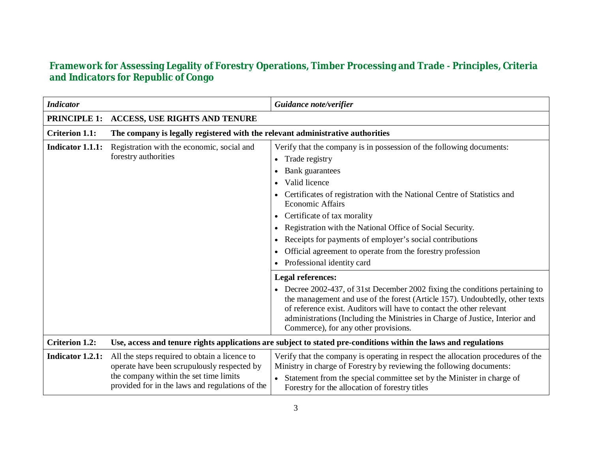## **Framework for Assessing Legality of Forestry Operations, Timber Processing and TradeǦPrinciples, Criteria and Indicators for Republic of Congo**

| <b>Indicator</b>      |                                                                                                                                                                                           | Guidance note/verifier                                                                                                                                                                                                                                                                                                                                                                                                                                                                                         |
|-----------------------|-------------------------------------------------------------------------------------------------------------------------------------------------------------------------------------------|----------------------------------------------------------------------------------------------------------------------------------------------------------------------------------------------------------------------------------------------------------------------------------------------------------------------------------------------------------------------------------------------------------------------------------------------------------------------------------------------------------------|
| <b>PRINCIPLE 1:</b>   | <b>ACCESS, USE RIGHTS AND TENURE</b>                                                                                                                                                      |                                                                                                                                                                                                                                                                                                                                                                                                                                                                                                                |
| <b>Criterion 1.1:</b> | The company is legally registered with the relevant administrative authorities                                                                                                            |                                                                                                                                                                                                                                                                                                                                                                                                                                                                                                                |
| Indicator 1.1.1:      | Registration with the economic, social and<br>forestry authorities                                                                                                                        | Verify that the company is in possession of the following documents:<br>Trade registry<br>$\bullet$<br>Bank guarantees<br>Valid licence<br>Certificates of registration with the National Centre of Statistics and<br><b>Economic Affairs</b><br>Certificate of tax morality<br>$\bullet$<br>Registration with the National Office of Social Security.<br>Receipts for payments of employer's social contributions<br>Official agreement to operate from the forestry profession<br>Professional identity card |
|                       |                                                                                                                                                                                           | <b>Legal references:</b><br>• Decree 2002-437, of 31st December 2002 fixing the conditions pertaining to<br>the management and use of the forest (Article 157). Undoubtedly, other texts<br>of reference exist. Auditors will have to contact the other relevant<br>administrations (Including the Ministries in Charge of Justice, Interior and<br>Commerce), for any other provisions.                                                                                                                       |
| <b>Criterion 1.2:</b> | Use, access and tenure rights applications are subject to stated pre-conditions within the laws and regulations                                                                           |                                                                                                                                                                                                                                                                                                                                                                                                                                                                                                                |
| Indicator 1.2.1:      | All the steps required to obtain a licence to<br>operate have been scrupulously respected by<br>the company within the set time limits<br>provided for in the laws and regulations of the | Verify that the company is operating in respect the allocation procedures of the<br>Ministry in charge of Forestry by reviewing the following documents:<br>Statement from the special committee set by the Minister in charge of<br>Forestry for the allocation of forestry titles                                                                                                                                                                                                                            |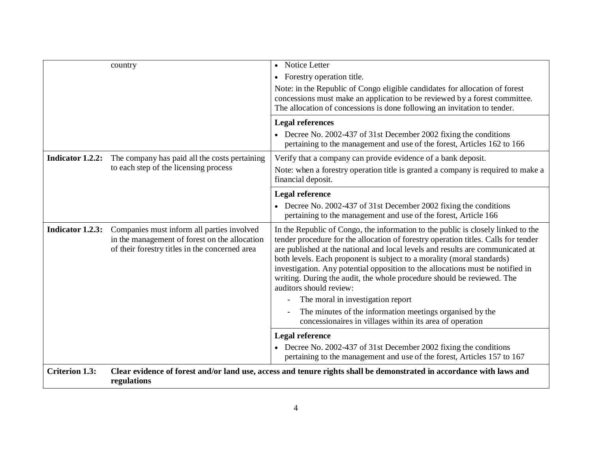|                       | country                                                                                                                                       | Notice Letter<br>$\bullet$                                                                                                                                                                                                                                                                                                                                                                                                                                                                                                |
|-----------------------|-----------------------------------------------------------------------------------------------------------------------------------------------|---------------------------------------------------------------------------------------------------------------------------------------------------------------------------------------------------------------------------------------------------------------------------------------------------------------------------------------------------------------------------------------------------------------------------------------------------------------------------------------------------------------------------|
|                       |                                                                                                                                               | • Forestry operation title.                                                                                                                                                                                                                                                                                                                                                                                                                                                                                               |
|                       |                                                                                                                                               | Note: in the Republic of Congo eligible candidates for allocation of forest<br>concessions must make an application to be reviewed by a forest committee.<br>The allocation of concessions is done following an invitation to tender.                                                                                                                                                                                                                                                                                     |
|                       |                                                                                                                                               | <b>Legal references</b>                                                                                                                                                                                                                                                                                                                                                                                                                                                                                                   |
|                       |                                                                                                                                               | • Decree No. 2002-437 of 31st December 2002 fixing the conditions<br>pertaining to the management and use of the forest, Articles 162 to 166                                                                                                                                                                                                                                                                                                                                                                              |
| Indicator 1.2.2:      | The company has paid all the costs pertaining                                                                                                 | Verify that a company can provide evidence of a bank deposit.                                                                                                                                                                                                                                                                                                                                                                                                                                                             |
|                       | to each step of the licensing process                                                                                                         | Note: when a forestry operation title is granted a company is required to make a<br>financial deposit.                                                                                                                                                                                                                                                                                                                                                                                                                    |
|                       |                                                                                                                                               | <b>Legal reference</b>                                                                                                                                                                                                                                                                                                                                                                                                                                                                                                    |
|                       |                                                                                                                                               | • Decree No. 2002-437 of 31st December 2002 fixing the conditions<br>pertaining to the management and use of the forest, Article 166                                                                                                                                                                                                                                                                                                                                                                                      |
| Indicator 1.2.3:      | Companies must inform all parties involved<br>in the management of forest on the allocation<br>of their forestry titles in the concerned area | In the Republic of Congo, the information to the public is closely linked to the<br>tender procedure for the allocation of forestry operation titles. Calls for tender<br>are published at the national and local levels and results are communicated at<br>both levels. Each proponent is subject to a morality (moral standards)<br>investigation. Any potential opposition to the allocations must be notified in<br>writing. During the audit, the whole procedure should be reviewed. The<br>auditors should review: |
|                       |                                                                                                                                               | The moral in investigation report                                                                                                                                                                                                                                                                                                                                                                                                                                                                                         |
|                       |                                                                                                                                               | The minutes of the information meetings organised by the<br>concessionaires in villages within its area of operation                                                                                                                                                                                                                                                                                                                                                                                                      |
|                       |                                                                                                                                               | <b>Legal reference</b>                                                                                                                                                                                                                                                                                                                                                                                                                                                                                                    |
|                       |                                                                                                                                               | • Decree No. 2002-437 of 31st December 2002 fixing the conditions<br>pertaining to the management and use of the forest, Articles 157 to 167                                                                                                                                                                                                                                                                                                                                                                              |
| <b>Criterion 1.3:</b> | regulations                                                                                                                                   | Clear evidence of forest and/or land use, access and tenure rights shall be demonstrated in accordance with laws and                                                                                                                                                                                                                                                                                                                                                                                                      |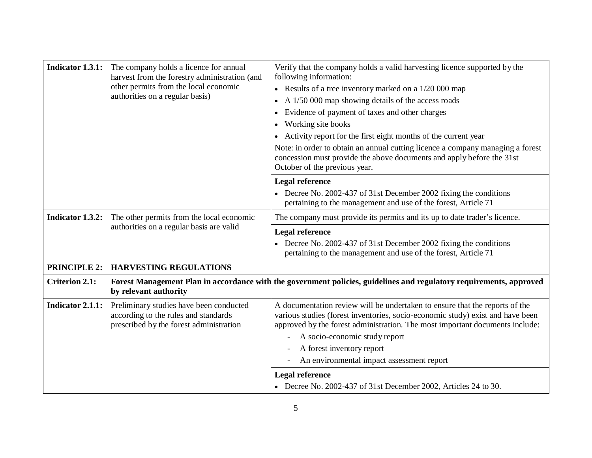|                         | <b>Indicator 1.3.1:</b> The company holds a licence for annual<br>harvest from the forestry administration (and            | Verify that the company holds a valid harvesting licence supported by the<br>following information:                                                                                                                                                                                                                                                      |
|-------------------------|----------------------------------------------------------------------------------------------------------------------------|----------------------------------------------------------------------------------------------------------------------------------------------------------------------------------------------------------------------------------------------------------------------------------------------------------------------------------------------------------|
|                         | other permits from the local economic                                                                                      | • Results of a tree inventory marked on a $1/20000$ map                                                                                                                                                                                                                                                                                                  |
|                         | authorities on a regular basis)                                                                                            | A 1/50 000 map showing details of the access roads<br>$\bullet$                                                                                                                                                                                                                                                                                          |
|                         |                                                                                                                            | Evidence of payment of taxes and other charges                                                                                                                                                                                                                                                                                                           |
|                         |                                                                                                                            | Working site books<br>٠                                                                                                                                                                                                                                                                                                                                  |
|                         |                                                                                                                            | Activity report for the first eight months of the current year                                                                                                                                                                                                                                                                                           |
|                         |                                                                                                                            | Note: in order to obtain an annual cutting licence a company managing a forest<br>concession must provide the above documents and apply before the 31st<br>October of the previous year.                                                                                                                                                                 |
|                         |                                                                                                                            | <b>Legal reference</b>                                                                                                                                                                                                                                                                                                                                   |
|                         |                                                                                                                            | • Decree No. 2002-437 of 31st December 2002 fixing the conditions<br>pertaining to the management and use of the forest, Article 71                                                                                                                                                                                                                      |
| Indicator 1.3.2:        | The other permits from the local economic                                                                                  | The company must provide its permits and its up to date trader's licence.                                                                                                                                                                                                                                                                                |
|                         | authorities on a regular basis are valid                                                                                   | <b>Legal reference</b>                                                                                                                                                                                                                                                                                                                                   |
|                         |                                                                                                                            | Decree No. 2002-437 of 31st December 2002 fixing the conditions<br>pertaining to the management and use of the forest, Article 71                                                                                                                                                                                                                        |
|                         | PRINCIPLE 2: HARVESTING REGULATIONS                                                                                        |                                                                                                                                                                                                                                                                                                                                                          |
| <b>Criterion 2.1:</b>   | by relevant authority                                                                                                      | Forest Management Plan in accordance with the government policies, guidelines and regulatory requirements, approved                                                                                                                                                                                                                                      |
| <b>Indicator 2.1.1:</b> | Preliminary studies have been conducted<br>according to the rules and standards<br>prescribed by the forest administration | A documentation review will be undertaken to ensure that the reports of the<br>various studies (forest inventories, socio-economic study) exist and have been<br>approved by the forest administration. The most important documents include:<br>A socio-economic study report<br>A forest inventory report<br>An environmental impact assessment report |
|                         |                                                                                                                            |                                                                                                                                                                                                                                                                                                                                                          |
|                         |                                                                                                                            |                                                                                                                                                                                                                                                                                                                                                          |
|                         |                                                                                                                            | <b>Legal reference</b><br>• Decree No. 2002-437 of 31st December 2002, Articles 24 to 30.                                                                                                                                                                                                                                                                |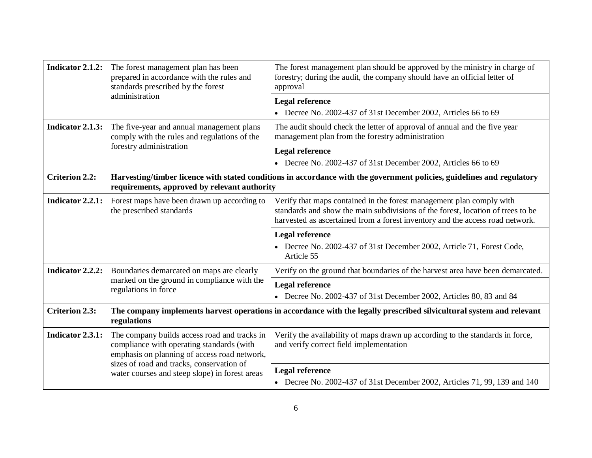| Indicator 2.1.2:      | The forest management plan has been<br>prepared in accordance with the rules and<br>standards prescribed by the forest<br>administration                                               | The forest management plan should be approved by the ministry in charge of<br>forestry; during the audit, the company should have an official letter of<br>approval                                                                      |
|-----------------------|----------------------------------------------------------------------------------------------------------------------------------------------------------------------------------------|------------------------------------------------------------------------------------------------------------------------------------------------------------------------------------------------------------------------------------------|
|                       |                                                                                                                                                                                        | <b>Legal reference</b><br>• Decree No. 2002-437 of 31st December 2002, Articles 66 to 69                                                                                                                                                 |
| Indicator 2.1.3:      | The five-year and annual management plans<br>comply with the rules and regulations of the                                                                                              | The audit should check the letter of approval of annual and the five year<br>management plan from the forestry administration                                                                                                            |
|                       | forestry administration                                                                                                                                                                | <b>Legal reference</b>                                                                                                                                                                                                                   |
|                       |                                                                                                                                                                                        | • Decree No. 2002-437 of 31st December 2002, Articles 66 to 69                                                                                                                                                                           |
| <b>Criterion 2.2:</b> | requirements, approved by relevant authority                                                                                                                                           | Harvesting/timber licence with stated conditions in accordance with the government policies, guidelines and regulatory                                                                                                                   |
| Indicator 2.2.1:      | Forest maps have been drawn up according to<br>the prescribed standards                                                                                                                | Verify that maps contained in the forest management plan comply with<br>standards and show the main subdivisions of the forest, location of trees to be<br>harvested as ascertained from a forest inventory and the access road network. |
|                       |                                                                                                                                                                                        | <b>Legal reference</b>                                                                                                                                                                                                                   |
|                       |                                                                                                                                                                                        | • Decree No. 2002-437 of 31st December 2002, Article 71, Forest Code,<br>Article 55                                                                                                                                                      |
| Indicator 2.2.2:      | Boundaries demarcated on maps are clearly                                                                                                                                              | Verify on the ground that boundaries of the harvest area have been demarcated.                                                                                                                                                           |
|                       | marked on the ground in compliance with the<br>regulations in force                                                                                                                    | <b>Legal reference</b>                                                                                                                                                                                                                   |
|                       |                                                                                                                                                                                        | • Decree No. 2002-437 of 31st December 2002, Articles 80, 83 and 84                                                                                                                                                                      |
| <b>Criterion 2.3:</b> | The company implements harvest operations in accordance with the legally prescribed silvicultural system and relevant<br>regulations                                                   |                                                                                                                                                                                                                                          |
| Indicator 2.3.1:      | The company builds access road and tracks in<br>compliance with operating standards (with<br>emphasis on planning of access road network,<br>sizes of road and tracks, conservation of | Verify the availability of maps drawn up according to the standards in force,<br>and verify correct field implementation                                                                                                                 |
|                       | water courses and steep slope) in forest areas                                                                                                                                         | <b>Legal reference</b>                                                                                                                                                                                                                   |
|                       |                                                                                                                                                                                        | • Decree No. 2002-437 of 31st December 2002, Articles 71, 99, 139 and 140                                                                                                                                                                |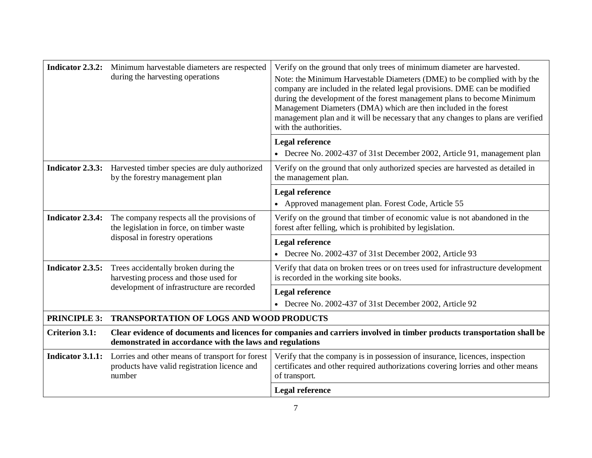|                         | <b>Indicator 2.3.2:</b> Minimum harvestable diameters are respected<br>during the harvesting operations                                                                             | Verify on the ground that only trees of minimum diameter are harvested.<br>Note: the Minimum Harvestable Diameters (DME) to be complied with by the<br>company are included in the related legal provisions. DME can be modified<br>during the development of the forest management plans to become Minimum<br>Management Diameters (DMA) which are then included in the forest<br>management plan and it will be necessary that any changes to plans are verified<br>with the authorities. |
|-------------------------|-------------------------------------------------------------------------------------------------------------------------------------------------------------------------------------|---------------------------------------------------------------------------------------------------------------------------------------------------------------------------------------------------------------------------------------------------------------------------------------------------------------------------------------------------------------------------------------------------------------------------------------------------------------------------------------------|
|                         |                                                                                                                                                                                     | <b>Legal reference</b><br>• Decree No. 2002-437 of 31st December 2002, Article 91, management plan                                                                                                                                                                                                                                                                                                                                                                                          |
|                         | <b>Indicator 2.3.3:</b> Harvested timber species are duly authorized<br>by the forestry management plan                                                                             | Verify on the ground that only authorized species are harvested as detailed in<br>the management plan.                                                                                                                                                                                                                                                                                                                                                                                      |
|                         |                                                                                                                                                                                     | Legal reference<br>• Approved management plan. Forest Code, Article 55                                                                                                                                                                                                                                                                                                                                                                                                                      |
| <b>Indicator 2.3.4:</b> | The company respects all the provisions of<br>the legislation in force, on timber waste                                                                                             | Verify on the ground that timber of economic value is not abandoned in the<br>forest after felling, which is prohibited by legislation.                                                                                                                                                                                                                                                                                                                                                     |
|                         | disposal in forestry operations                                                                                                                                                     | <b>Legal reference</b><br>• Decree No. 2002-437 of 31st December 2002, Article 93                                                                                                                                                                                                                                                                                                                                                                                                           |
| Indicator 2.3.5:        | Trees accidentally broken during the<br>harvesting process and those used for                                                                                                       | Verify that data on broken trees or on trees used for infrastructure development<br>is recorded in the working site books.                                                                                                                                                                                                                                                                                                                                                                  |
|                         | development of infrastructure are recorded                                                                                                                                          | <b>Legal reference</b><br>• Decree No. 2002-437 of 31st December 2002, Article 92                                                                                                                                                                                                                                                                                                                                                                                                           |
| <b>PRINCIPLE 3:</b>     | <b>TRANSPORTATION OF LOGS AND WOOD PRODUCTS</b>                                                                                                                                     |                                                                                                                                                                                                                                                                                                                                                                                                                                                                                             |
| <b>Criterion 3.1:</b>   | Clear evidence of documents and licences for companies and carriers involved in timber products transportation shall be<br>demonstrated in accordance with the laws and regulations |                                                                                                                                                                                                                                                                                                                                                                                                                                                                                             |
| <b>Indicator 3.1.1:</b> | Lorries and other means of transport for forest<br>products have valid registration licence and<br>number                                                                           | Verify that the company is in possession of insurance, licences, inspection<br>certificates and other required authorizations covering lorries and other means<br>of transport.                                                                                                                                                                                                                                                                                                             |
|                         |                                                                                                                                                                                     | <b>Legal reference</b>                                                                                                                                                                                                                                                                                                                                                                                                                                                                      |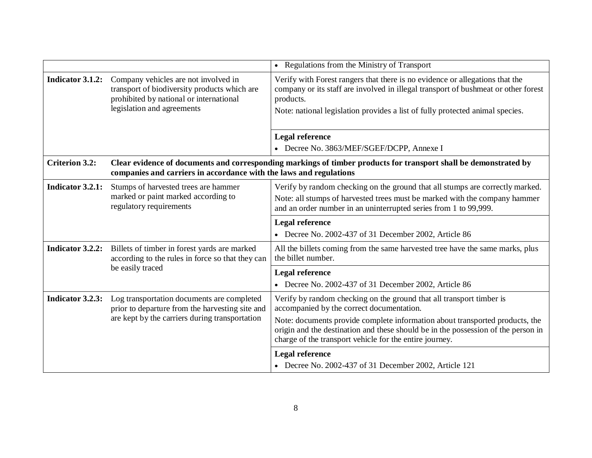|                       |                                                                                                                                                               | • Regulations from the Ministry of Transport                                                                                                                                                                                                                     |
|-----------------------|---------------------------------------------------------------------------------------------------------------------------------------------------------------|------------------------------------------------------------------------------------------------------------------------------------------------------------------------------------------------------------------------------------------------------------------|
| Indicator 3.1.2:      | Company vehicles are not involved in<br>transport of biodiversity products which are<br>prohibited by national or international<br>legislation and agreements | Verify with Forest rangers that there is no evidence or allegations that the<br>company or its staff are involved in illegal transport of bushmeat or other forest<br>products.<br>Note: national legislation provides a list of fully protected animal species. |
|                       |                                                                                                                                                               | <b>Legal reference</b>                                                                                                                                                                                                                                           |
|                       |                                                                                                                                                               | • Decree No. 3863/MEF/SGEF/DCPP, Annexe I                                                                                                                                                                                                                        |
| <b>Criterion 3.2:</b> | companies and carriers in accordance with the laws and regulations                                                                                            | Clear evidence of documents and corresponding markings of timber products for transport shall be demonstrated by                                                                                                                                                 |
| Indicator 3.2.1:      | Stumps of harvested trees are hammer                                                                                                                          | Verify by random checking on the ground that all stumps are correctly marked.                                                                                                                                                                                    |
|                       | marked or paint marked according to<br>regulatory requirements                                                                                                | Note: all stumps of harvested trees must be marked with the company hammer<br>and an order number in an uninterrupted series from 1 to 99,999.                                                                                                                   |
|                       |                                                                                                                                                               | Legal reference                                                                                                                                                                                                                                                  |
|                       |                                                                                                                                                               |                                                                                                                                                                                                                                                                  |
|                       |                                                                                                                                                               | • Decree No. 2002-437 of 31 December 2002, Article 86                                                                                                                                                                                                            |
| Indicator 3.2.2:      | Billets of timber in forest yards are marked<br>according to the rules in force so that they can                                                              | All the billets coming from the same harvested tree have the same marks, plus<br>the billet number.                                                                                                                                                              |
|                       | be easily traced                                                                                                                                              | Legal reference                                                                                                                                                                                                                                                  |
|                       |                                                                                                                                                               | • Decree No. 2002-437 of 31 December 2002, Article 86                                                                                                                                                                                                            |
| Indicator 3.2.3:      | Log transportation documents are completed<br>prior to departure from the harvesting site and                                                                 | Verify by random checking on the ground that all transport timber is<br>accompanied by the correct documentation.                                                                                                                                                |
|                       | are kept by the carriers during transportation                                                                                                                | Note: documents provide complete information about transported products, the<br>origin and the destination and these should be in the possession of the person in<br>charge of the transport vehicle for the entire journey.                                     |
|                       |                                                                                                                                                               | <b>Legal reference</b><br>• Decree No. 2002-437 of 31 December 2002, Article 121                                                                                                                                                                                 |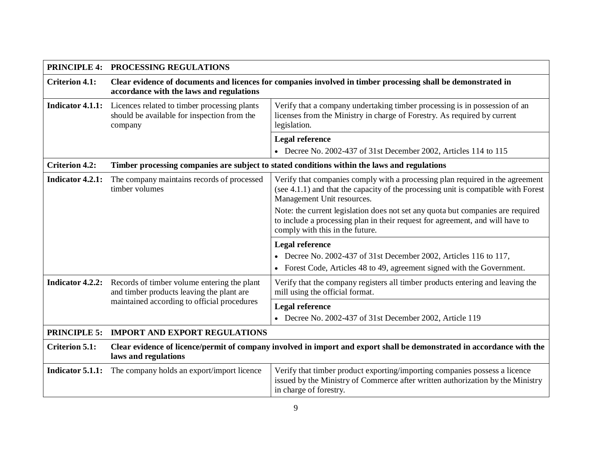|                         | PRINCIPLE 4: PROCESSING REGULATIONS                                                                                                                       |                                                                                                                                                                                                      |
|-------------------------|-----------------------------------------------------------------------------------------------------------------------------------------------------------|------------------------------------------------------------------------------------------------------------------------------------------------------------------------------------------------------|
| <b>Criterion 4.1:</b>   | Clear evidence of documents and licences for companies involved in timber processing shall be demonstrated in<br>accordance with the laws and regulations |                                                                                                                                                                                                      |
| <b>Indicator 4.1.1:</b> | Licences related to timber processing plants<br>should be available for inspection from the<br>company                                                    | Verify that a company undertaking timber processing is in possession of an<br>licenses from the Ministry in charge of Forestry. As required by current<br>legislation.                               |
|                         |                                                                                                                                                           | <b>Legal reference</b>                                                                                                                                                                               |
|                         |                                                                                                                                                           | • Decree No. 2002-437 of 31st December 2002, Articles 114 to 115                                                                                                                                     |
| <b>Criterion 4.2:</b>   |                                                                                                                                                           | Timber processing companies are subject to stated conditions within the laws and regulations                                                                                                         |
| <b>Indicator 4.2.1:</b> | The company maintains records of processed<br>timber volumes                                                                                              | Verify that companies comply with a processing plan required in the agreement<br>(see $4.1.1$ ) and that the capacity of the processing unit is compatible with Forest<br>Management Unit resources. |
|                         |                                                                                                                                                           | Note: the current legislation does not set any quota but companies are required<br>to include a processing plan in their request for agreement, and will have to<br>comply with this in the future.  |
|                         |                                                                                                                                                           | <b>Legal reference</b>                                                                                                                                                                               |
|                         |                                                                                                                                                           | • Decree No. 2002-437 of 31st December 2002, Articles 116 to 117,<br>• Forest Code, Articles 48 to 49, agreement signed with the Government.                                                         |
| Indicator 4.2.2:        | Records of timber volume entering the plant<br>and timber products leaving the plant are                                                                  | Verify that the company registers all timber products entering and leaving the<br>mill using the official format.                                                                                    |
|                         | maintained according to official procedures                                                                                                               | <b>Legal reference</b><br>• Decree No. 2002-437 of 31st December 2002, Article 119                                                                                                                   |
|                         | PRINCIPLE 5: IMPORT AND EXPORT REGULATIONS                                                                                                                |                                                                                                                                                                                                      |
| <b>Criterion 5.1:</b>   | Clear evidence of licence/permit of company involved in import and export shall be demonstrated in accordance with the<br>laws and regulations            |                                                                                                                                                                                                      |
| Indicator 5.1.1:        | The company holds an export/import licence                                                                                                                | Verify that timber product exporting/importing companies possess a licence<br>issued by the Ministry of Commerce after written authorization by the Ministry<br>in charge of forestry.               |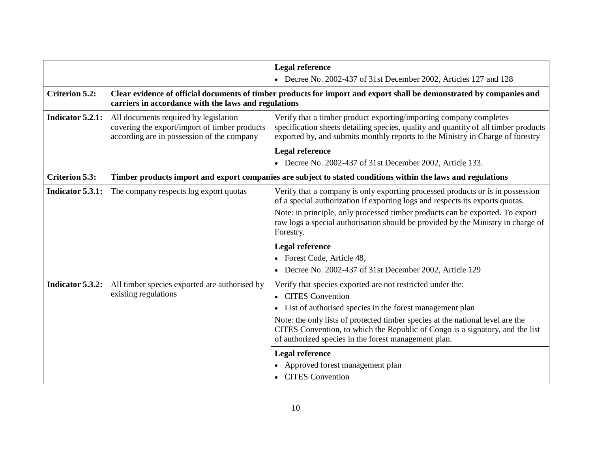|                       |                                                                                                                                                                              | <b>Legal reference</b>                                                                                                                                                                                                                      |
|-----------------------|------------------------------------------------------------------------------------------------------------------------------------------------------------------------------|---------------------------------------------------------------------------------------------------------------------------------------------------------------------------------------------------------------------------------------------|
|                       |                                                                                                                                                                              | • Decree No. 2002-437 of 31st December 2002, Articles 127 and 128                                                                                                                                                                           |
| <b>Criterion 5.2:</b> | Clear evidence of official documents of timber products for import and export shall be demonstrated by companies and<br>carriers in accordance with the laws and regulations |                                                                                                                                                                                                                                             |
| Indicator 5.2.1:      | All documents required by legislation<br>covering the export/import of timber products<br>according are in possession of the company                                         | Verify that a timber product exporting/importing company completes<br>specification sheets detailing species, quality and quantity of all timber products<br>exported by, and submits monthly reports to the Ministry in Charge of forestry |
|                       |                                                                                                                                                                              | <b>Legal reference</b><br>• Decree No. 2002-437 of 31st December 2002, Article 133.                                                                                                                                                         |
| <b>Criterion 5.3:</b> |                                                                                                                                                                              | Timber products import and export companies are subject to stated conditions within the laws and regulations                                                                                                                                |
| Indicator 5.3.1:      | The company respects log export quotas                                                                                                                                       | Verify that a company is only exporting processed products or is in possession<br>of a special authorization if exporting logs and respects its exports quotas.                                                                             |
|                       |                                                                                                                                                                              | Note: in principle, only processed timber products can be exported. To export<br>raw logs a special authorisation should be provided by the Ministry in charge of<br>Forestry.                                                              |
|                       |                                                                                                                                                                              | <b>Legal reference</b>                                                                                                                                                                                                                      |
|                       |                                                                                                                                                                              | • Forest Code, Article 48,                                                                                                                                                                                                                  |
|                       |                                                                                                                                                                              | • Decree No. 2002-437 of 31st December 2002, Article 129                                                                                                                                                                                    |
| Indicator 5.3.2:      | All timber species exported are authorised by<br>existing regulations                                                                                                        | Verify that species exported are not restricted under the:<br>• CITES Convention<br>• List of authorised species in the forest management plan                                                                                              |
|                       |                                                                                                                                                                              | Note: the only lists of protected timber species at the national level are the<br>CITES Convention, to which the Republic of Congo is a signatory, and the list<br>of authorized species in the forest management plan.                     |
|                       |                                                                                                                                                                              | <b>Legal reference</b><br>• Approved forest management plan<br>• CITES Convention                                                                                                                                                           |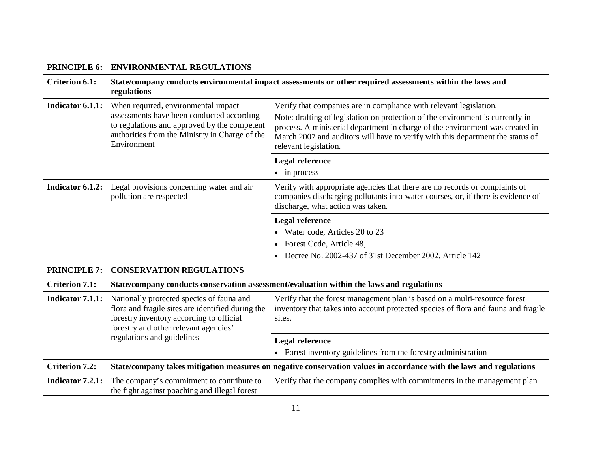| <b>PRINCIPLE 6:</b>   | <b>ENVIRONMENTAL REGULATIONS</b>                                                                                                                                                    |                                                                                                                                                                                                      |
|-----------------------|-------------------------------------------------------------------------------------------------------------------------------------------------------------------------------------|------------------------------------------------------------------------------------------------------------------------------------------------------------------------------------------------------|
| <b>Criterion 6.1:</b> | State/company conducts environmental impact assessments or other required assessments within the laws and<br>regulations                                                            |                                                                                                                                                                                                      |
| Indicator 6.1.1:      | When required, environmental impact<br>assessments have been conducted according                                                                                                    | Verify that companies are in compliance with relevant legislation.<br>Note: drafting of legislation on protection of the environment is currently in                                                 |
|                       | to regulations and approved by the competent<br>authorities from the Ministry in Charge of the<br>Environment                                                                       | process. A ministerial department in charge of the environment was created in<br>March 2007 and auditors will have to verify with this department the status of<br>relevant legislation.             |
|                       |                                                                                                                                                                                     | <b>Legal reference</b>                                                                                                                                                                               |
|                       |                                                                                                                                                                                     | $\bullet$ in process                                                                                                                                                                                 |
| Indicator 6.1.2:      | Legal provisions concerning water and air<br>pollution are respected                                                                                                                | Verify with appropriate agencies that there are no records or complaints of<br>companies discharging pollutants into water courses, or, if there is evidence of<br>discharge, what action was taken. |
|                       |                                                                                                                                                                                     | <b>Legal reference</b>                                                                                                                                                                               |
|                       |                                                                                                                                                                                     | • Water code, Articles 20 to 23                                                                                                                                                                      |
|                       |                                                                                                                                                                                     | Forest Code, Article 48,                                                                                                                                                                             |
|                       |                                                                                                                                                                                     | Decree No. 2002-437 of 31st December 2002, Article 142                                                                                                                                               |
| <b>PRINCIPLE 7:</b>   | <b>CONSERVATION REGULATIONS</b>                                                                                                                                                     |                                                                                                                                                                                                      |
| <b>Criterion 7.1:</b> |                                                                                                                                                                                     | State/company conducts conservation assessment/evaluation within the laws and regulations                                                                                                            |
| Indicator 7.1.1:      | Nationally protected species of fauna and<br>flora and fragile sites are identified during the<br>forestry inventory according to official<br>forestry and other relevant agencies' | Verify that the forest management plan is based on a multi-resource forest<br>inventory that takes into account protected species of flora and fauna and fragile<br>sites.                           |
|                       | regulations and guidelines                                                                                                                                                          | <b>Legal reference</b>                                                                                                                                                                               |
|                       |                                                                                                                                                                                     | • Forest inventory guidelines from the forestry administration                                                                                                                                       |
| <b>Criterion 7.2:</b> |                                                                                                                                                                                     | State/company takes mitigation measures on negative conservation values in accordance with the laws and regulations                                                                                  |
| Indicator 7.2.1:      | The company's commitment to contribute to<br>the fight against poaching and illegal forest                                                                                          | Verify that the company complies with commitments in the management plan                                                                                                                             |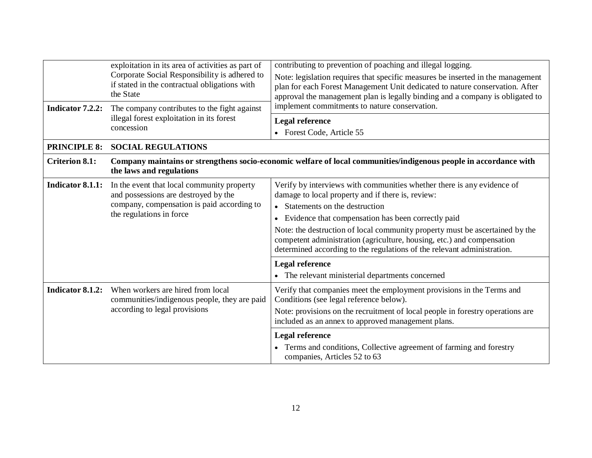| Indicator 7.2.2:        | exploitation in its area of activities as part of<br>Corporate Social Responsibility is adhered to<br>if stated in the contractual obligations with<br>the State<br>The company contributes to the fight against<br>illegal forest exploitation in its forest | contributing to prevention of poaching and illegal logging.<br>Note: legislation requires that specific measures be inserted in the management<br>plan for each Forest Management Unit dedicated to nature conservation. After<br>approval the management plan is legally binding and a company is obligated to<br>implement commitments to nature conservation.<br><b>Legal reference</b>                                                                                                                                                |
|-------------------------|---------------------------------------------------------------------------------------------------------------------------------------------------------------------------------------------------------------------------------------------------------------|-------------------------------------------------------------------------------------------------------------------------------------------------------------------------------------------------------------------------------------------------------------------------------------------------------------------------------------------------------------------------------------------------------------------------------------------------------------------------------------------------------------------------------------------|
|                         | concession                                                                                                                                                                                                                                                    | • Forest Code, Article 55                                                                                                                                                                                                                                                                                                                                                                                                                                                                                                                 |
| <b>PRINCIPLE 8:</b>     | <b>SOCIAL REGULATIONS</b>                                                                                                                                                                                                                                     |                                                                                                                                                                                                                                                                                                                                                                                                                                                                                                                                           |
| <b>Criterion 8.1:</b>   | Company maintains or strengthens socio-economic welfare of local communities/indigenous people in accordance with<br>the laws and regulations                                                                                                                 |                                                                                                                                                                                                                                                                                                                                                                                                                                                                                                                                           |
| <b>Indicator 8.1.1:</b> | In the event that local community property<br>and possessions are destroyed by the<br>company, compensation is paid according to<br>the regulations in force                                                                                                  | Verify by interviews with communities whether there is any evidence of<br>damage to local property and if there is, review:<br>• Statements on the destruction<br>• Evidence that compensation has been correctly paid<br>Note: the destruction of local community property must be ascertained by the<br>competent administration (agriculture, housing, etc.) and compensation<br>determined according to the regulations of the relevant administration.<br><b>Legal reference</b><br>• The relevant ministerial departments concerned |
| <b>Indicator 8.1.2:</b> | When workers are hired from local<br>communities/indigenous people, they are paid<br>according to legal provisions                                                                                                                                            | Verify that companies meet the employment provisions in the Terms and<br>Conditions (see legal reference below).<br>Note: provisions on the recruitment of local people in forestry operations are<br>included as an annex to approved management plans.<br><b>Legal reference</b><br>Terms and conditions, Collective agreement of farming and forestry<br>companies, Articles 52 to 63                                                                                                                                                  |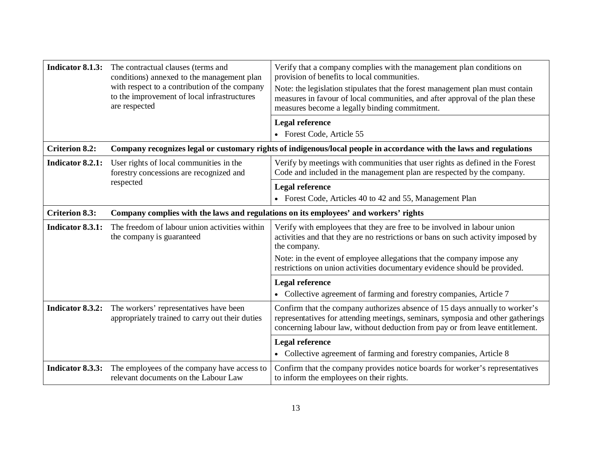| Indicator 8.1.3:      | The contractual clauses (terms and<br>conditions) annexed to the management plan<br>with respect to a contribution of the company<br>to the improvement of local infrastructures<br>are respected | Verify that a company complies with the management plan conditions on<br>provision of benefits to local communities.<br>Note: the legislation stipulates that the forest management plan must contain<br>measures in favour of local communities, and after approval of the plan these<br>measures become a legally binding commitment. |
|-----------------------|---------------------------------------------------------------------------------------------------------------------------------------------------------------------------------------------------|-----------------------------------------------------------------------------------------------------------------------------------------------------------------------------------------------------------------------------------------------------------------------------------------------------------------------------------------|
|                       |                                                                                                                                                                                                   | <b>Legal reference</b><br>• Forest Code, Article 55                                                                                                                                                                                                                                                                                     |
| <b>Criterion 8.2:</b> |                                                                                                                                                                                                   | Company recognizes legal or customary rights of indigenous/local people in accordance with the laws and regulations                                                                                                                                                                                                                     |
| Indicator 8.2.1:      | User rights of local communities in the<br>forestry concessions are recognized and                                                                                                                | Verify by meetings with communities that user rights as defined in the Forest<br>Code and included in the management plan are respected by the company.                                                                                                                                                                                 |
|                       | respected                                                                                                                                                                                         | <b>Legal reference</b>                                                                                                                                                                                                                                                                                                                  |
|                       |                                                                                                                                                                                                   | • Forest Code, Articles 40 to 42 and 55, Management Plan                                                                                                                                                                                                                                                                                |
| <b>Criterion 8.3:</b> | Company complies with the laws and regulations on its employees' and workers' rights                                                                                                              |                                                                                                                                                                                                                                                                                                                                         |
| Indicator 8.3.1:      | The freedom of labour union activities within<br>the company is guaranteed                                                                                                                        | Verify with employees that they are free to be involved in labour union<br>activities and that they are no restrictions or bans on such activity imposed by<br>the company.                                                                                                                                                             |
|                       |                                                                                                                                                                                                   | Note: in the event of employee allegations that the company impose any<br>restrictions on union activities documentary evidence should be provided.                                                                                                                                                                                     |
|                       |                                                                                                                                                                                                   | <b>Legal reference</b><br>• Collective agreement of farming and forestry companies, Article 7                                                                                                                                                                                                                                           |
| Indicator 8.3.2:      | The workers' representatives have been<br>appropriately trained to carry out their duties                                                                                                         | Confirm that the company authorizes absence of 15 days annually to worker's<br>representatives for attending meetings, seminars, symposia and other gatherings<br>concerning labour law, without deduction from pay or from leave entitlement.                                                                                          |
|                       |                                                                                                                                                                                                   | <b>Legal reference</b><br>• Collective agreement of farming and forestry companies, Article 8                                                                                                                                                                                                                                           |
| Indicator 8.3.3:      | The employees of the company have access to<br>relevant documents on the Labour Law                                                                                                               | Confirm that the company provides notice boards for worker's representatives<br>to inform the employees on their rights.                                                                                                                                                                                                                |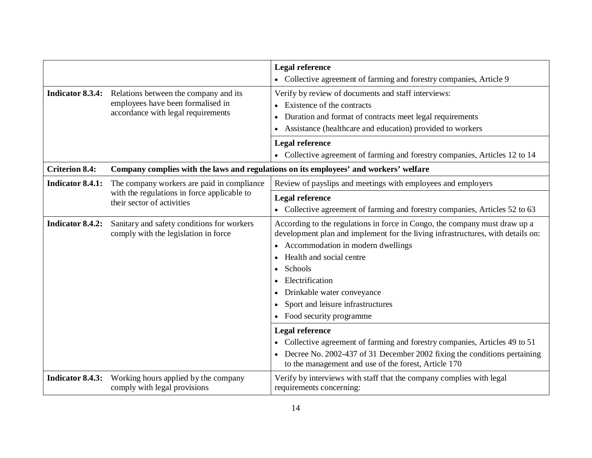|                         |                                                                                                                         | <b>Legal reference</b>                                                                                                                                                                                                                                                                                                                                                                                                                                                                                                                                                                                |
|-------------------------|-------------------------------------------------------------------------------------------------------------------------|-------------------------------------------------------------------------------------------------------------------------------------------------------------------------------------------------------------------------------------------------------------------------------------------------------------------------------------------------------------------------------------------------------------------------------------------------------------------------------------------------------------------------------------------------------------------------------------------------------|
|                         |                                                                                                                         | • Collective agreement of farming and forestry companies, Article 9                                                                                                                                                                                                                                                                                                                                                                                                                                                                                                                                   |
| Indicator 8.3.4:        | Relations between the company and its<br>employees have been formalised in<br>accordance with legal requirements        | Verify by review of documents and staff interviews:<br>Existence of the contracts<br>$\bullet$<br>Duration and format of contracts meet legal requirements<br>Assistance (healthcare and education) provided to workers                                                                                                                                                                                                                                                                                                                                                                               |
|                         |                                                                                                                         | <b>Legal reference</b><br>• Collective agreement of farming and forestry companies, Articles 12 to 14                                                                                                                                                                                                                                                                                                                                                                                                                                                                                                 |
| <b>Criterion 8.4:</b>   |                                                                                                                         | Company complies with the laws and regulations on its employees' and workers' welfare                                                                                                                                                                                                                                                                                                                                                                                                                                                                                                                 |
| <b>Indicator 8.4.1:</b> | The company workers are paid in compliance<br>with the regulations in force applicable to<br>their sector of activities | Review of payslips and meetings with employees and employers                                                                                                                                                                                                                                                                                                                                                                                                                                                                                                                                          |
|                         |                                                                                                                         | <b>Legal reference</b><br>• Collective agreement of farming and forestry companies, Articles 52 to 63                                                                                                                                                                                                                                                                                                                                                                                                                                                                                                 |
| <b>Indicator 8.4.2:</b> | Sanitary and safety conditions for workers<br>comply with the legislation in force                                      | According to the regulations in force in Congo, the company must draw up a<br>development plan and implement for the living infrastructures, with details on:<br>Accommodation in modern dwellings<br>Health and social centre<br>Schools<br>Electrification<br>Drinkable water conveyance<br>Sport and leisure infrastructures<br>Food security programme<br><b>Legal reference</b><br>Collective agreement of farming and forestry companies, Articles 49 to 51<br>Decree No. 2002-437 of 31 December 2002 fixing the conditions pertaining<br>to the management and use of the forest, Article 170 |
| <b>Indicator 8.4.3:</b> | Working hours applied by the company<br>comply with legal provisions                                                    | Verify by interviews with staff that the company complies with legal<br>requirements concerning:                                                                                                                                                                                                                                                                                                                                                                                                                                                                                                      |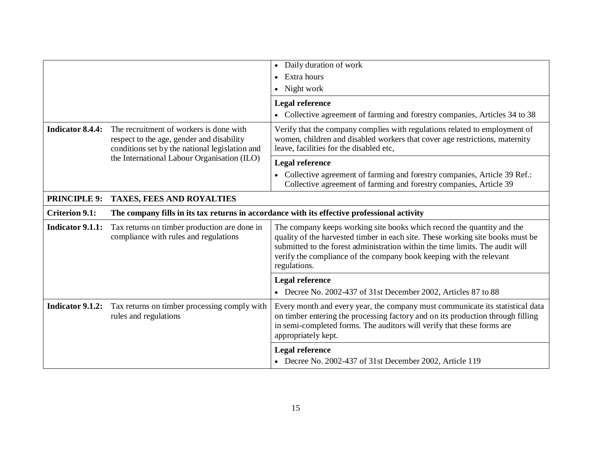|                         |                                                                                                                                                                                       | Daily duration of work<br>$\bullet$<br>Extra hours<br>$\bullet$                                                                                                                                                                                                                                                                  |
|-------------------------|---------------------------------------------------------------------------------------------------------------------------------------------------------------------------------------|----------------------------------------------------------------------------------------------------------------------------------------------------------------------------------------------------------------------------------------------------------------------------------------------------------------------------------|
|                         |                                                                                                                                                                                       | • Night work                                                                                                                                                                                                                                                                                                                     |
|                         |                                                                                                                                                                                       | <b>Legal reference</b><br>• Collective agreement of farming and forestry companies, Articles 34 to 38                                                                                                                                                                                                                            |
| <b>Indicator 8.4.4:</b> | The recruitment of workers is done with<br>respect to the age, gender and disability<br>conditions set by the national legislation and<br>the International Labour Organisation (ILO) | Verify that the company complies with regulations related to employment of<br>women, children and disabled workers that cover age restrictions, maternity<br>leave, facilities for the disabled etc,                                                                                                                             |
|                         |                                                                                                                                                                                       | <b>Legal reference</b>                                                                                                                                                                                                                                                                                                           |
|                         |                                                                                                                                                                                       | • Collective agreement of farming and forestry companies, Article 39 Ref.:<br>Collective agreement of farming and forestry companies, Article 39                                                                                                                                                                                 |
| <b>PRINCIPLE 9:</b>     | TAXES, FEES AND ROYALTIES                                                                                                                                                             |                                                                                                                                                                                                                                                                                                                                  |
| <b>Criterion 9.1:</b>   | The company fills in its tax returns in accordance with its effective professional activity                                                                                           |                                                                                                                                                                                                                                                                                                                                  |
| <b>Indicator 9.1.1:</b> | Tax returns on timber production are done in<br>compliance with rules and regulations                                                                                                 | The company keeps working site books which record the quantity and the<br>quality of the harvested timber in each site. These working site books must be<br>submitted to the forest administration within the time limits. The audit will<br>verify the compliance of the company book keeping with the relevant<br>regulations. |
|                         |                                                                                                                                                                                       | <b>Legal reference</b>                                                                                                                                                                                                                                                                                                           |
|                         |                                                                                                                                                                                       | • Decree No. 2002-437 of 31st December 2002, Articles 87 to 88                                                                                                                                                                                                                                                                   |
| <b>Indicator 9.1.2:</b> | Tax returns on timber processing comply with<br>rules and regulations                                                                                                                 | Every month and every year, the company must communicate its statistical data<br>on timber entering the processing factory and on its production through filling<br>in semi-completed forms. The auditors will verify that these forms are<br>appropriately kept.                                                                |
|                         |                                                                                                                                                                                       | <b>Legal reference</b><br>• Decree No. 2002-437 of 31st December 2002, Article 119                                                                                                                                                                                                                                               |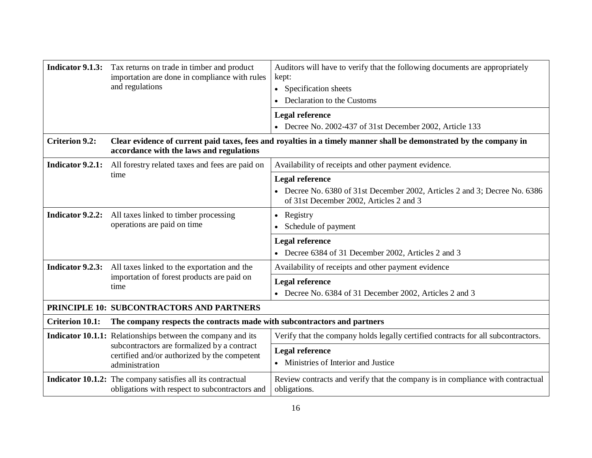|                                           | <b>Indicator 9.1.3:</b> Tax returns on trade in timber and product<br>importation are done in compliance with rules<br>and regulations                                              | Auditors will have to verify that the following documents are appropriately<br>kept:<br>• Specification sheets                           |  |  |
|-------------------------------------------|-------------------------------------------------------------------------------------------------------------------------------------------------------------------------------------|------------------------------------------------------------------------------------------------------------------------------------------|--|--|
|                                           |                                                                                                                                                                                     | Declaration to the Customs                                                                                                               |  |  |
|                                           |                                                                                                                                                                                     | <b>Legal reference</b>                                                                                                                   |  |  |
|                                           |                                                                                                                                                                                     | • Decree No. 2002-437 of 31st December 2002, Article 133                                                                                 |  |  |
| <b>Criterion 9.2:</b>                     | Clear evidence of current paid taxes, fees and royalties in a timely manner shall be demonstrated by the company in<br>accordance with the laws and regulations                     |                                                                                                                                          |  |  |
| Indicator 9.2.1:                          | All forestry related taxes and fees are paid on                                                                                                                                     | Availability of receipts and other payment evidence.                                                                                     |  |  |
|                                           | time                                                                                                                                                                                | Legal reference<br>• Decree No. 6380 of 31st December 2002, Articles 2 and 3; Decree No. 6386<br>of 31st December 2002, Articles 2 and 3 |  |  |
| Indicator 9.2.2:                          | All taxes linked to timber processing<br>operations are paid on time                                                                                                                | • Registry<br>Schedule of payment                                                                                                        |  |  |
|                                           |                                                                                                                                                                                     | <b>Legal reference</b><br>• Decree 6384 of 31 December 2002, Articles 2 and 3                                                            |  |  |
|                                           | <b>Indicator 9.2.3:</b> All taxes linked to the exportation and the<br>importation of forest products are paid on<br>time                                                           | Availability of receipts and other payment evidence                                                                                      |  |  |
|                                           |                                                                                                                                                                                     | <b>Legal reference</b><br>• Decree No. 6384 of 31 December 2002, Articles 2 and 3                                                        |  |  |
| PRINCIPLE 10: SUBCONTRACTORS AND PARTNERS |                                                                                                                                                                                     |                                                                                                                                          |  |  |
| <b>Criterion 10.1:</b>                    | The company respects the contracts made with subcontractors and partners                                                                                                            |                                                                                                                                          |  |  |
|                                           | <b>Indicator 10.1.1:</b> Relationships between the company and its<br>subcontractors are formalized by a contract<br>certified and/or authorized by the competent<br>administration | Verify that the company holds legally certified contracts for all subcontractors.                                                        |  |  |
|                                           |                                                                                                                                                                                     | Legal reference<br>• Ministries of Interior and Justice                                                                                  |  |  |
|                                           | <b>Indicator 10.1.2:</b> The company satisfies all its contractual<br>obligations with respect to subcontractors and                                                                | Review contracts and verify that the company is in compliance with contractual<br>obligations.                                           |  |  |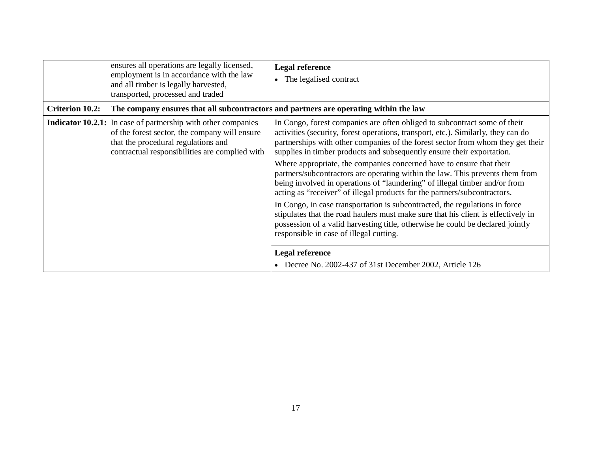|                        | ensures all operations are legally licensed,<br>employment is in accordance with the law<br>and all timber is legally harvested,<br>transported, processed and traded                                          | <b>Legal reference</b><br>The legalised contract                                                                                                                                                                                                                                                                                                                                                                                                                                                                                                                                                                                                                                                                                                                                                                                                                                                                                                                           |
|------------------------|----------------------------------------------------------------------------------------------------------------------------------------------------------------------------------------------------------------|----------------------------------------------------------------------------------------------------------------------------------------------------------------------------------------------------------------------------------------------------------------------------------------------------------------------------------------------------------------------------------------------------------------------------------------------------------------------------------------------------------------------------------------------------------------------------------------------------------------------------------------------------------------------------------------------------------------------------------------------------------------------------------------------------------------------------------------------------------------------------------------------------------------------------------------------------------------------------|
| <b>Criterion 10.2:</b> | The company ensures that all subcontractors and partners are operating within the law                                                                                                                          |                                                                                                                                                                                                                                                                                                                                                                                                                                                                                                                                                                                                                                                                                                                                                                                                                                                                                                                                                                            |
|                        | <b>Indicator 10.2.1:</b> In case of partnership with other companies<br>of the forest sector, the company will ensure<br>that the procedural regulations and<br>contractual responsibilities are complied with | In Congo, forest companies are often obliged to subcontract some of their<br>activities (security, forest operations, transport, etc.). Similarly, they can do<br>partnerships with other companies of the forest sector from whom they get their<br>supplies in timber products and subsequently ensure their exportation.<br>Where appropriate, the companies concerned have to ensure that their<br>partners/subcontractors are operating within the law. This prevents them from<br>being involved in operations of "laundering" of illegal timber and/or from<br>acting as "receiver" of illegal products for the partners/subcontractors.<br>In Congo, in case transportation is subcontracted, the regulations in force<br>stipulates that the road haulers must make sure that his client is effectively in<br>possession of a valid harvesting title, otherwise he could be declared jointly<br>responsible in case of illegal cutting.<br><b>Legal reference</b> |
|                        |                                                                                                                                                                                                                | • Decree No. 2002-437 of 31st December 2002, Article 126                                                                                                                                                                                                                                                                                                                                                                                                                                                                                                                                                                                                                                                                                                                                                                                                                                                                                                                   |